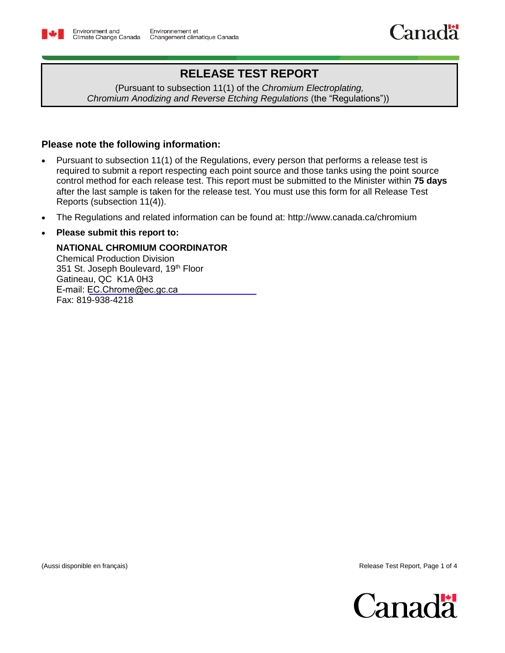

# **RELEASE TEST REPORT**

(Pursuant to subsection 11(1) of the *Chromium Electroplating, Chromium Anodizing and Reverse Etching Regulations* (the "Regulations"))

## **Please note the following information:**

- Pursuant to subsection 11(1) of the Regulations, every person that performs a release test is required to submit a report respecting each point source and those tanks using the point source control method for each release test. This report must be submitted to the Minister within **75 days** after the last sample is taken for the release test. You must use this form for all Release Test Reports (subsection 11(4)).
- The Regulations and related information can be found at: <http://www.canada.ca/chromium>

### **Please submit this report to:**

### **NATIONAL CHROMIUM COORDINATOR**

Chemical Production Division 351 St. Joseph Boulevard, 19<sup>th</sup> Floor Gatineau, QC K1A 0H3 E-mail: [EC.Chrome@ec.gc.ca](../AppData/Local/Microsoft/Windows/INetCache/Content.Outlook/M4VW7IMB/EC.Chrome-Chromium.EC@Canada.ca) Fax: 819-938-4218

(Aussi disponible en français) Release Test Report, Page 1 of 4

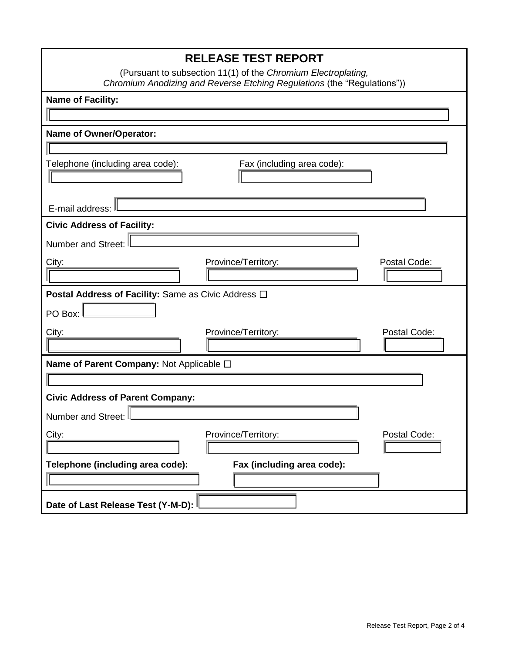| <b>RELEASE TEST REPORT</b>                                              |  |  |  |  |
|-------------------------------------------------------------------------|--|--|--|--|
| (Pursuant to subsection 11(1) of the Chromium Electroplating,           |  |  |  |  |
| Chromium Anodizing and Reverse Etching Regulations (the "Regulations")) |  |  |  |  |
| <b>Name of Facility:</b>                                                |  |  |  |  |
|                                                                         |  |  |  |  |
| <b>Name of Owner/Operator:</b>                                          |  |  |  |  |
|                                                                         |  |  |  |  |
| Telephone (including area code):<br>Fax (including area code):          |  |  |  |  |
|                                                                         |  |  |  |  |
| E-mail address:                                                         |  |  |  |  |
| <b>Civic Address of Facility:</b>                                       |  |  |  |  |
| <b>Number and Street:</b>                                               |  |  |  |  |
| City:<br>Province/Territory:<br>Postal Code:                            |  |  |  |  |
|                                                                         |  |  |  |  |
| Postal Address of Facility: Same as Civic Address □                     |  |  |  |  |
| PO Box:                                                                 |  |  |  |  |
| Postal Code:<br>City:<br>Province/Territory:                            |  |  |  |  |
|                                                                         |  |  |  |  |
| Name of Parent Company: Not Applicable □                                |  |  |  |  |
|                                                                         |  |  |  |  |
| <b>Civic Address of Parent Company:</b>                                 |  |  |  |  |
| Number and Street:                                                      |  |  |  |  |
| City:<br>Province/Territory:<br>Postal Code:                            |  |  |  |  |
|                                                                         |  |  |  |  |
| Fax (including area code):<br>Telephone (including area code):          |  |  |  |  |
|                                                                         |  |  |  |  |
| Date of Last Release Test (Y-M-D):                                      |  |  |  |  |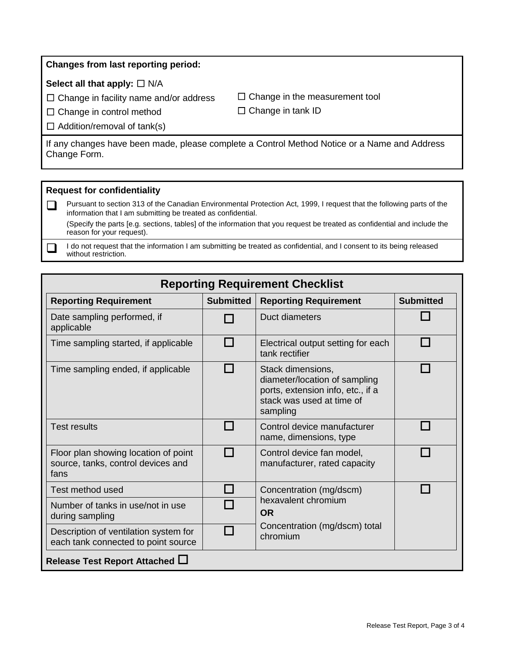#### **Changes from last reporting period:**

#### **Select all that apply:** ☐ N/A

 $\Box$  Change in facility name and/or address

 $\Box$  Change in the measurement tool  $\Box$  Change in tank ID

□ Change in control method

 $\Box$  Addition/removal of tank(s)

If any changes have been made, please complete a Control Method Notice or a Name and Address Change Form.

#### **Request for confidentiality**

Pursuant to section 313 of the Canadian Environmental Protection Act, 1999, I request that the following parts of the information that I am submitting be treated as confidential.

(Specify the parts [e.g. sections, tables] of the information that you request be treated as confidential and include the reason for your request).

I do not request that the information I am submitting be treated as confidential, and I consent to its being released without restriction.

| <b>Reporting Requirement Checklist</b>                                             |                  |                                                                                                                                  |                  |  |
|------------------------------------------------------------------------------------|------------------|----------------------------------------------------------------------------------------------------------------------------------|------------------|--|
| <b>Reporting Requirement</b>                                                       | <b>Submitted</b> | <b>Reporting Requirement</b>                                                                                                     | <b>Submitted</b> |  |
| Date sampling performed, if<br>applicable                                          |                  | Duct diameters                                                                                                                   |                  |  |
| Time sampling started, if applicable                                               |                  | Electrical output setting for each<br>tank rectifier                                                                             |                  |  |
| Time sampling ended, if applicable                                                 |                  | Stack dimensions,<br>diameter/location of sampling<br>ports, extension info, etc., if a<br>stack was used at time of<br>sampling |                  |  |
| Test results                                                                       |                  | Control device manufacturer<br>name, dimensions, type                                                                            |                  |  |
| Floor plan showing location of point<br>source, tanks, control devices and<br>fans |                  | Control device fan model,<br>manufacturer, rated capacity                                                                        |                  |  |
| Test method used                                                                   |                  | Concentration (mg/dscm)<br>hexavalent chromium<br><b>OR</b><br>Concentration (mg/dscm) total<br>chromium                         |                  |  |
| Number of tanks in use/not in use<br>during sampling                               |                  |                                                                                                                                  |                  |  |
| Description of ventilation system for<br>each tank connected to point source       |                  |                                                                                                                                  |                  |  |
| Release Test Report Attached L                                                     |                  |                                                                                                                                  |                  |  |